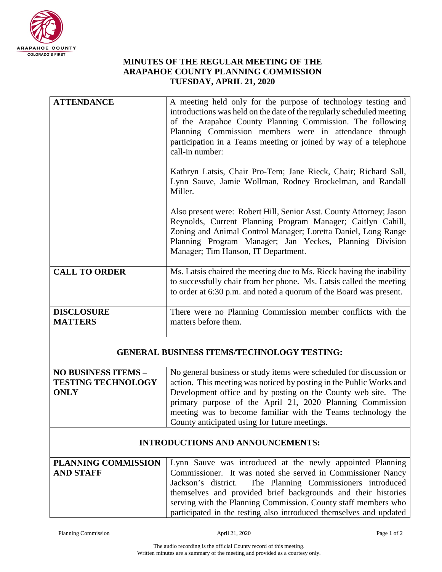

## **MINUTES OF THE REGULAR MEETING OF THE ARAPAHOE COUNTY PLANNING COMMISSION TUESDAY, APRIL 21, 2020**

| <b>ATTENDANCE</b>                                 | A meeting held only for the purpose of technology testing and<br>introductions was held on the date of the regularly scheduled meeting<br>of the Arapahoe County Planning Commission. The following<br>Planning Commission members were in attendance through<br>participation in a Teams meeting or joined by way of a telephone<br>call-in number:<br>Kathryn Latsis, Chair Pro-Tem; Jane Rieck, Chair; Richard Sall,<br>Lynn Sauve, Jamie Wollman, Rodney Brockelman, and Randall |
|---------------------------------------------------|--------------------------------------------------------------------------------------------------------------------------------------------------------------------------------------------------------------------------------------------------------------------------------------------------------------------------------------------------------------------------------------------------------------------------------------------------------------------------------------|
|                                                   | Miller.<br>Also present were: Robert Hill, Senior Asst. County Attorney; Jason<br>Reynolds, Current Planning Program Manager; Caitlyn Cahill,<br>Zoning and Animal Control Manager; Loretta Daniel, Long Range<br>Planning Program Manager; Jan Yeckes, Planning Division<br>Manager; Tim Hanson, IT Department.                                                                                                                                                                     |
| <b>CALL TO ORDER</b>                              | Ms. Latsis chaired the meeting due to Ms. Rieck having the inability<br>to successfully chair from her phone. Ms. Latsis called the meeting<br>to order at 6:30 p.m. and noted a quorum of the Board was present.                                                                                                                                                                                                                                                                    |
| <b>DISCLOSURE</b><br><b>MATTERS</b>               | There were no Planning Commission member conflicts with the<br>matters before them.                                                                                                                                                                                                                                                                                                                                                                                                  |
| <b>GENERAL BUSINESS ITEMS/TECHNOLOGY TESTING:</b> |                                                                                                                                                                                                                                                                                                                                                                                                                                                                                      |

| <b>NO BUSINESS ITEMS –</b> | No general business or study items were scheduled for discussion or |
|----------------------------|---------------------------------------------------------------------|
| <b>TESTING TECHNOLOGY</b>  | action. This meeting was noticed by posting in the Public Works and |
| <b>ONLY</b>                | Development office and by posting on the County web site. The       |
|                            | primary purpose of the April 21, 2020 Planning Commission           |
|                            | meeting was to become familiar with the Teams technology the        |
|                            | County anticipated using for future meetings.                       |

## **INTRODUCTIONS AND ANNOUNCEMENTS:**

|                  | <b>PLANNING COMMISSION</b>   Lynn Sauve was introduced at the newly appointed Planning |
|------------------|----------------------------------------------------------------------------------------|
| <b>AND STAFF</b> | Commissioner. It was noted she served in Commissioner Nancy                            |
|                  | Jackson's district. The Planning Commissioners introduced                              |
|                  | themselves and provided brief backgrounds and their histories                          |
|                  | serving with the Planning Commission. County staff members who                         |
|                  | participated in the testing also introduced themselves and updated                     |
|                  |                                                                                        |

Planning Commission **Page 1 of 2** April 21, 2020 **Page 1 of 2** April 21, 2020

The audio recording is the official County record of this meeting. Written minutes are a summary of the meeting and provided as a courtesy only.